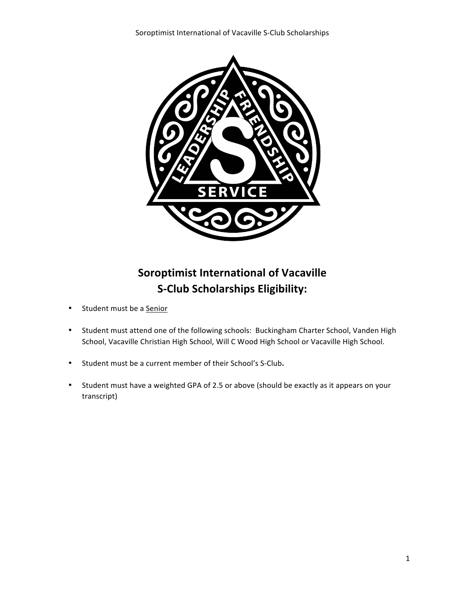

## **Soroptimist International of Vacaville S-Club Scholarships Eligibility:**

- Student must be a Senior
- Student must attend one of the following schools: Buckingham Charter School, Vanden High School, Vacaville Christian High School, Will C Wood High School or Vacaville High School.
- Student must be a current member of their School's S-Club**.**
- Student must have a weighted GPA of 2.5 or above (should be exactly as it appears on your transcript)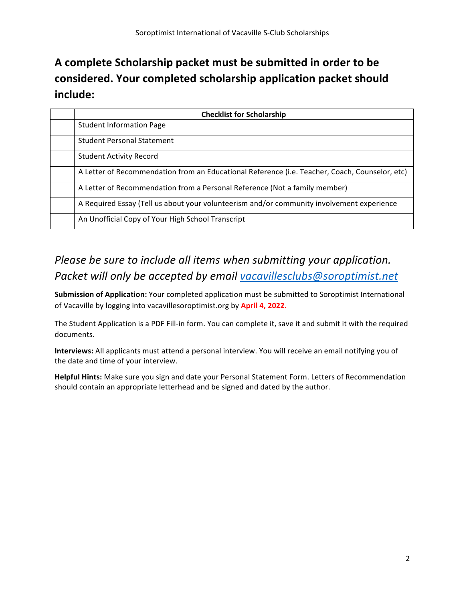# A complete Scholarship packet must be submitted in order to be considered. Your completed scholarship application packet should **include:**

| <b>Checklist for Scholarship</b>                                                               |  |  |
|------------------------------------------------------------------------------------------------|--|--|
| <b>Student Information Page</b>                                                                |  |  |
| <b>Student Personal Statement</b>                                                              |  |  |
| <b>Student Activity Record</b>                                                                 |  |  |
| A Letter of Recommendation from an Educational Reference (i.e. Teacher, Coach, Counselor, etc) |  |  |
| A Letter of Recommendation from a Personal Reference (Not a family member)                     |  |  |
| A Required Essay (Tell us about your volunteerism and/or community involvement experience      |  |  |
| An Unofficial Copy of Your High School Transcript                                              |  |  |

## *Please be sure to include all items when submitting your application. Packet will only be accepted by email vacavillesclubs@soroptimist.net*

**Submission of Application:** Your completed application must be submitted to Soroptimist International of Vacaville by logging into vacavillesoroptimist.org by April 4, 2022.

The Student Application is a PDF Fill-in form. You can complete it, save it and submit it with the required documents.

**Interviews:** All applicants must attend a personal interview. You will receive an email notifying you of the date and time of your interview.

**Helpful Hints:** Make sure you sign and date your Personal Statement Form. Letters of Recommendation should contain an appropriate letterhead and be signed and dated by the author.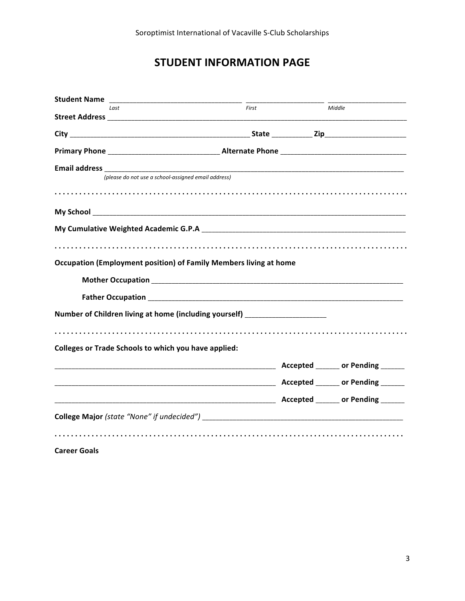### **STUDENT INFORMATION PAGE**

| <b>Student Name</b>                                                              |       |        |
|----------------------------------------------------------------------------------|-------|--------|
| Last                                                                             | First | Middle |
|                                                                                  |       |        |
|                                                                                  |       |        |
|                                                                                  |       |        |
|                                                                                  |       |        |
| (please do not use a school-assigned email address)                              |       |        |
|                                                                                  |       |        |
|                                                                                  |       |        |
|                                                                                  |       |        |
|                                                                                  |       |        |
|                                                                                  |       |        |
| Occupation (Employment position) of Family Members living at home                |       |        |
|                                                                                  |       |        |
|                                                                                  |       |        |
| Number of Children living at home (including yourself) _________________________ |       |        |
|                                                                                  |       |        |
| <b>Colleges or Trade Schools to which you have applied:</b>                      |       |        |
|                                                                                  |       |        |
|                                                                                  |       |        |
|                                                                                  |       |        |
|                                                                                  |       |        |
|                                                                                  |       |        |
|                                                                                  |       |        |
| <b>Career Goals</b>                                                              |       |        |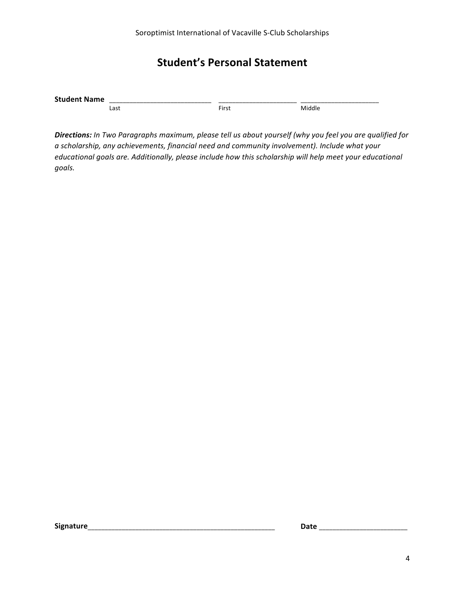#### **Student's Personal Statement**

| <b>Stut</b> |          | _____________________________ |   |
|-------------|----------|-------------------------------|---|
| $-$         |          | _______________               |   |
|             |          | ________                      |   |
|             | --<br>⊷⊶ | $- \cdot$<br>rir'             | м |

**Directions:** In Two Paragraphs maximum, please tell us about yourself (why you feel you are qualified for a scholarship, any achievements, financial need and community involvement). Include what your *educational goals are. Additionally, please include how this scholarship will help meet your educational goals.*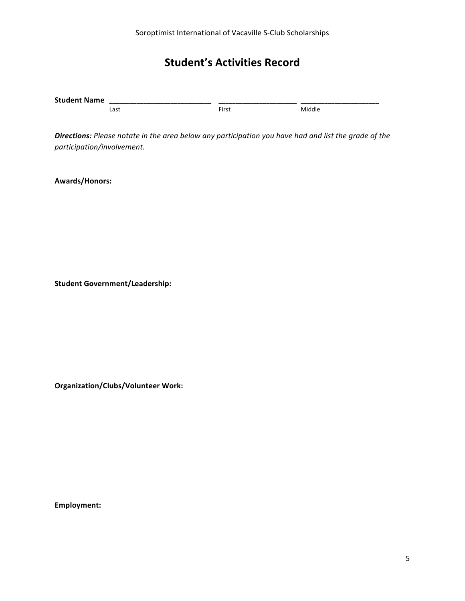### **Student's Activities Record**

| <b>Stu</b> | _________________________________ | _________________________<br>_________________________ |  |
|------------|-----------------------------------|--------------------------------------------------------|--|
|            | .<br>-⊶                           | $- \cdot$<br>.irc<br>'II 3                             |  |

**Directions:** Please notate in the area below any participation you have had and list the grade of the *participation/involvement.* 

**Awards/Honors:**

**Student Government/Leadership:**

**Organization/Clubs/Volunteer Work:**

**Employment:**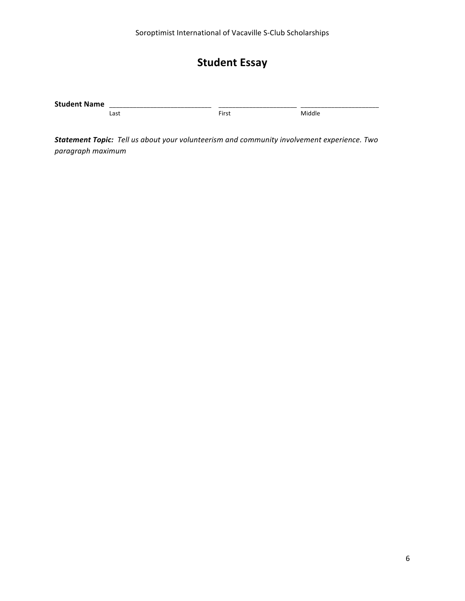## **Student Essay**

| Student | ___________________________ |                   |   |  |
|---------|-----------------------------|-------------------|---|--|
| $-$     |                             |                   |   |  |
| N       | _______________             |                   |   |  |
|         | $\sim$<br>cas,              | --<br><b>FILC</b> | м |  |

**Statement Topic:** Tell us about your volunteerism and community involvement experience. Two *paragraph maximum*